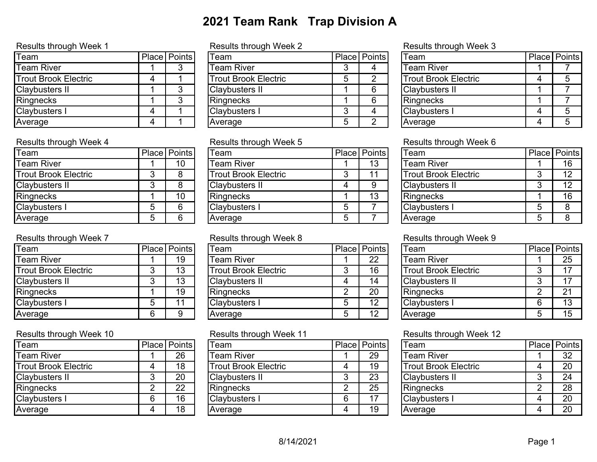## **2021 Team Rank Trap Division A**

| <b>I</b> Team               | Place Points |
|-----------------------------|--------------|
| Team River                  |              |
| <b>Trout Brook Electric</b> |              |
| <b>Claybusters II</b>       |              |
| Ringnecks                   |              |
| Claybusters I               |              |
| verage                      |              |

| <b>Team</b>                 |   | Place Points |
|-----------------------------|---|--------------|
| <b>Team River</b>           |   | 10           |
| <b>Trout Brook Electric</b> |   |              |
| <b>Claybusters II</b>       |   |              |
| Ringnecks                   |   | 10           |
| <b>Claybusters I</b>        | 5 |              |
| Average                     |   |              |

### Results through Week 7 **Results through Week 8** Results through Week 9

| <b>I</b> Team               |   | Place Points |
|-----------------------------|---|--------------|
| Team River                  |   | 19           |
| <b>Trout Brook Electric</b> |   | 13           |
| <b>Claybusters II</b>       |   | 13           |
| Ringnecks                   |   | 19           |
| <b>Claybusters I</b>        | 5 | 11           |
| Average                     |   |              |

| <b>IT</b> eam               |   | Place Points |
|-----------------------------|---|--------------|
| Team River                  |   | 26           |
| <b>Trout Brook Electric</b> |   | 18           |
| <b>Claybusters II</b>       | 3 | 20           |
| Ringnecks                   | 2 | 22           |
| <b>Claybusters I</b>        | 6 | 16           |
| Average                     |   | 18           |

### Results through Week 1 **Results through Week 2** Results through Week 3

| Team                        | Place Points | <b>T</b> eam                | <b>Place Points</b> | Team                        | <b>Place Points</b> |  |
|-----------------------------|--------------|-----------------------------|---------------------|-----------------------------|---------------------|--|
| Team River                  |              | Team River                  |                     | <b>Team River</b>           |                     |  |
| <b>Trout Brook Electric</b> |              | <b>Trout Brook Electric</b> |                     | <b>Trout Brook Electric</b> |                     |  |
| <b>Claybusters II</b>       |              | <b>Claybusters II</b>       |                     | <b>Claybusters II</b>       |                     |  |
| Ringnecks                   |              | Ringnecks                   |                     | Ringnecks                   |                     |  |
| <b>Clavbusters I</b>        |              | <b>IClaybusters I</b>       |                     | <b>Claybusters I</b>        |                     |  |
| Average                     |              | Average                     |                     | Average                     |                     |  |

| Team                 | Place Points | <b>Team</b>            | Place   Points | Team                  | Place   Points |
|----------------------|--------------|------------------------|----------------|-----------------------|----------------|
| Team River           | 10           | <b>Team River</b>      | 13             | <b>Team River</b>     | 16             |
| Trout Brook Electric |              | Trout Brook Electric   |                | Trout Brook Electric  | 12             |
| Claybusters II       |              | <b>IClaybusters II</b> |                | <b>Claybusters II</b> | 12             |
| <b>Ringnecks</b>     | 10           | Ringnecks              | 13             | Ringnecks             | 16             |
| <b>Claybusters I</b> | 6.           | <b>Claybusters I</b>   |                | <b>Claybusters I</b>  |                |
| Average              | 6.           | Average                |                | Average               |                |

| Team                  | Place   Points | <sup>'</sup> Team     | Place   Points | 'Team                       | <b>Place</b> Points |
|-----------------------|----------------|-----------------------|----------------|-----------------------------|---------------------|
| Team River            | 19             | <b>Team River</b>     | 22             | <b>Team River</b>           | 25                  |
| Trout Brook Electric  | 13             | Trout Brook Electric  | 16             | <b>Trout Brook Electric</b> |                     |
| <b>Claybusters II</b> | 13             | <b>Claybusters II</b> | 14             | <b>Claybusters II</b>       |                     |
| <b>Ringnecks</b>      | 19             | <b>Ringnecks</b>      | 20             | Ringnecks                   | $^{\circ}$          |
| <b>Claybusters I</b>  |                | Claybusters I         | 12             | <b>Claybusters I</b>        | 13                  |
| Average               | 9              | <b>Average</b>        | 12             | Average                     | 15                  |

| Team                  | Place Points | Team                        |   | Place Points | 'Team                       | Place Points |
|-----------------------|--------------|-----------------------------|---|--------------|-----------------------------|--------------|
| Team River            | 26           | <b>Team River</b>           |   | 29           | <b>Team River</b>           | 32           |
| Trout Brook Electric  | 18           | <b>Trout Brook Electric</b> |   | 19           | <b>Trout Brook Electric</b> | 20           |
| <b>Claybusters II</b> | 20           | Claybusters II              |   | 23           | <b>Claybusters II</b>       | 24           |
| Ringnecks             | 22           | <b>Ringnecks</b>            |   | 25           | Ringnecks                   | 28           |
| <b>Claybusters I</b>  | 16           | <b>Claybusters I</b>        | 6 |              | <b>Claybusters I</b>        | 20           |
| Average               | 18           | Average                     |   | 19           | <b>Average</b>              | 20           |
|                       |              |                             |   |              |                             |              |

| <b>ITeam</b>                | <b>Place Points</b> |
|-----------------------------|---------------------|
| Team River                  |                     |
| <b>Trout Brook Electric</b> | b                   |
| <b>Claybusters II</b>       |                     |
| Ringnecks                   |                     |
| Claybusters I               | 5                   |
| Average                     | 5                   |

### Results through Week 4 Results through Week 5 Results through Week 6

| <b>I</b> Team               |   | Place Points |
|-----------------------------|---|--------------|
| Team River                  |   | 16           |
| <b>Trout Brook Electric</b> |   | 12           |
| <b>Claybusters II</b>       | 3 | 12           |
| Ringnecks                   |   | 16           |
| <b>Claybusters I</b>        | 5 | 8            |
| Average                     | 5 |              |

| <b>T</b> eam                |   | Place Points |
|-----------------------------|---|--------------|
| Team River                  |   | 25           |
| <b>Trout Brook Electric</b> |   | 17           |
| <b>Claybusters II</b>       |   | 17           |
| Ringnecks                   |   | 21           |
| <b>Claybusters I</b>        |   | 13           |
| Average                     | 5 | 15           |

### Results through Week 10 **Results through Week 11** Results through Week 12

| Team                        |   | Place   Points |
|-----------------------------|---|----------------|
| Team River                  |   | 32             |
| <b>Trout Brook Electric</b> |   | 20             |
| <b>Claybusters II</b>       | З | 24             |
| Ringnecks                   |   | 28             |
| Claybusters I               |   | 20             |
| Average                     |   | 20             |